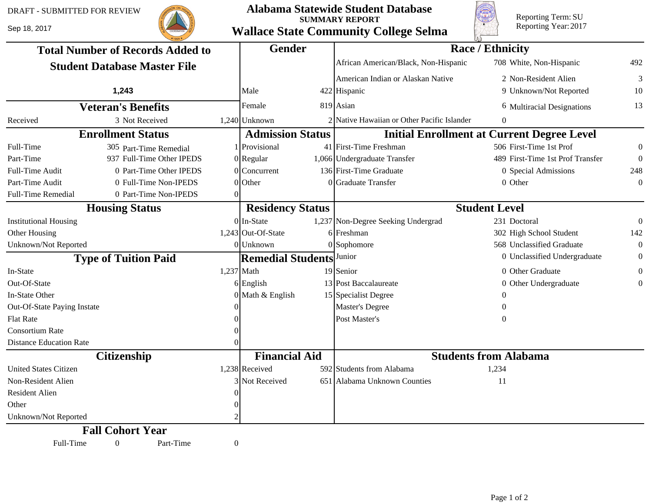Sep 18, 2017



## **Alabama Statewide Student Database SUMMARY REPORT Wallace State Community College Selma**



Reporting Term: SU Reporting Year: 2017

| <b>Total Number of Records Added to</b><br><b>Student Database Master File</b> |                           |              | <b>Gender</b>            |  | <b>Race / Ethnicity</b>                           |                                  |                  |  |
|--------------------------------------------------------------------------------|---------------------------|--------------|--------------------------|--|---------------------------------------------------|----------------------------------|------------------|--|
|                                                                                |                           |              |                          |  | African American/Black, Non-Hispanic              | 708 White, Non-Hispanic          | 492              |  |
|                                                                                |                           |              |                          |  | American Indian or Alaskan Native                 | 2 Non-Resident Alien             | 3                |  |
|                                                                                | 1,243                     |              | Male                     |  | 422 Hispanic                                      | 9 Unknown/Not Reported           | 10               |  |
| <b>Veteran's Benefits</b>                                                      |                           |              | Female                   |  | $819$ Asian                                       | 6 Multiracial Designations       | 13               |  |
| Received                                                                       | 3 Not Received            |              | 1,240 Unknown            |  | 2 Native Hawaiian or Other Pacific Islander       | 0                                |                  |  |
| <b>Enrollment Status</b>                                                       |                           |              | <b>Admission Status</b>  |  | <b>Initial Enrollment at Current Degree Level</b> |                                  |                  |  |
| Full-Time                                                                      | 305 Part-Time Remedial    |              | Provisional              |  | 41 First-Time Freshman                            | 506 First-Time 1st Prof          | $\boldsymbol{0}$ |  |
| Part-Time                                                                      | 937 Full-Time Other IPEDS |              | $0$  Regular             |  | 1,066 Undergraduate Transfer                      | 489 First-Time 1st Prof Transfer | $\boldsymbol{0}$ |  |
| <b>Full-Time Audit</b>                                                         | 0 Part-Time Other IPEDS   |              | $0$ Concurrent           |  | 136 First-Time Graduate                           | 0 Special Admissions             | 248              |  |
| Part-Time Audit                                                                | 0 Full-Time Non-IPEDS     |              | $0$ Other                |  | 0 Graduate Transfer                               | 0 Other                          | $\Omega$         |  |
| Full-Time Remedial                                                             | 0 Part-Time Non-IPEDS     | ∩            |                          |  |                                                   |                                  |                  |  |
| <b>Housing Status</b>                                                          |                           |              | <b>Residency Status</b>  |  | <b>Student Level</b>                              |                                  |                  |  |
| <b>Institutional Housing</b>                                                   |                           |              | $0$ In-State             |  | 1,237 Non-Degree Seeking Undergrad                | 231 Doctoral                     | $\theta$         |  |
| Other Housing                                                                  |                           |              | $1,243$ Out-Of-State     |  | $6$ Freshman                                      | 302 High School Student          | 142              |  |
| Unknown/Not Reported                                                           |                           |              | $0$ Unknown              |  | $0$ Sophomore                                     | 568 Unclassified Graduate        | $\theta$         |  |
| <b>Type of Tuition Paid</b>                                                    |                           |              | <b>Remedial Students</b> |  | Junior                                            | 0 Unclassified Undergraduate     | $\boldsymbol{0}$ |  |
| In-State                                                                       |                           |              | $1,237$ Math             |  | 19 Senior                                         | 0 Other Graduate                 | $\boldsymbol{0}$ |  |
| Out-Of-State                                                                   |                           |              | $6$ English              |  | 13 Post Baccalaureate                             | 0 Other Undergraduate            | $\Omega$         |  |
| In-State Other                                                                 |                           |              | $0$ Math & English       |  | 15 Specialist Degree                              |                                  |                  |  |
| Out-Of-State Paying Instate                                                    |                           |              |                          |  | Master's Degree                                   | $\Omega$                         |                  |  |
| <b>Flat Rate</b>                                                               |                           |              |                          |  | Post Master's                                     | $\Omega$                         |                  |  |
| <b>Consortium Rate</b>                                                         |                           |              |                          |  |                                                   |                                  |                  |  |
| <b>Distance Education Rate</b>                                                 |                           |              |                          |  |                                                   |                                  |                  |  |
| <b>Citizenship</b>                                                             |                           |              | <b>Financial Aid</b>     |  | <b>Students from Alabama</b>                      |                                  |                  |  |
| <b>United States Citizen</b>                                                   |                           |              | $1,238$ Received         |  | 592 Students from Alabama                         | 1,234                            |                  |  |
| Non-Resident Alien                                                             |                           |              | 3 Not Received           |  | 651 Alabama Unknown Counties                      | 11                               |                  |  |
| <b>Resident Alien</b>                                                          |                           |              |                          |  |                                                   |                                  |                  |  |
| Other                                                                          |                           |              |                          |  |                                                   |                                  |                  |  |
| Unknown/Not Reported                                                           |                           |              |                          |  |                                                   |                                  |                  |  |
|                                                                                | <b>Fall Cohort Year</b>   |              |                          |  |                                                   |                                  |                  |  |
| Full-Time                                                                      | $\mathbf{0}$<br>Part-Time | $\mathbf{0}$ |                          |  |                                                   |                                  |                  |  |